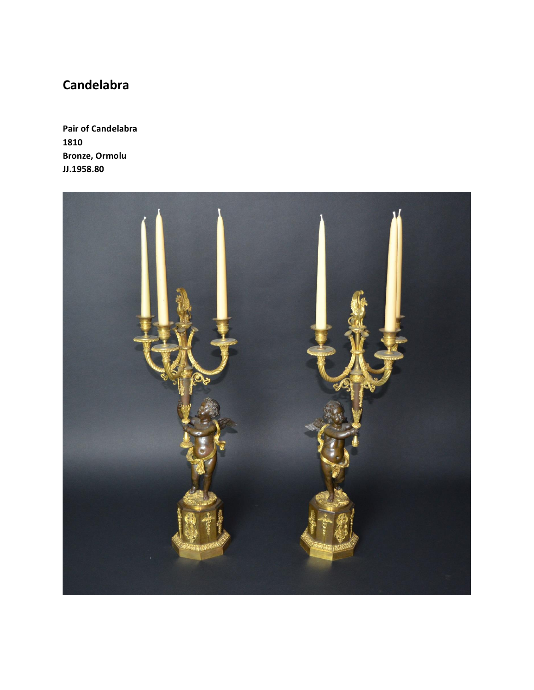## **Candelabra**

**Pair of Candelabra 1810 Bronze, Ormolu JJ.1958.80**